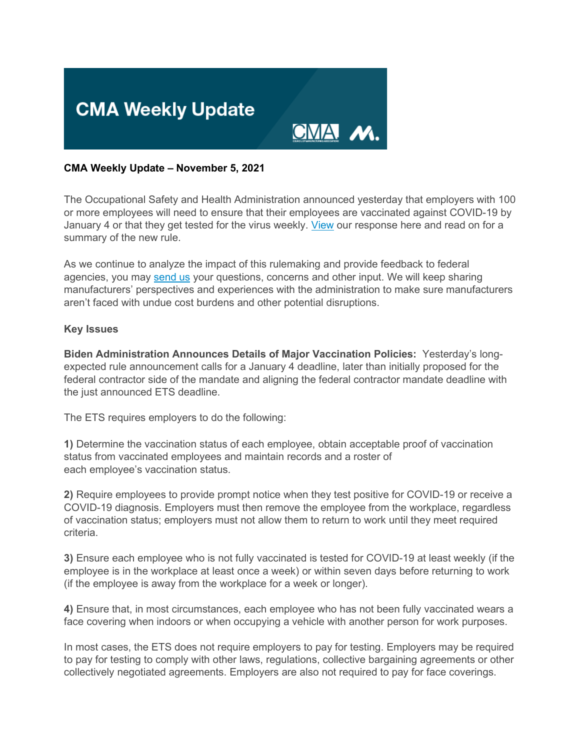

## **CMA Weekly Update – November 5, 2021**

The Occupational Safety and Health Administration announced yesterday that employers with 100 or more employees will need to ensure that their employees are vaccinated against COVID-19 by January 4 or that they get tested for the virus weekly. [View](https://click.email.nam.org/?qs=ee61d1e296c2ac475e791026e00457deaee5eadff87f259f00e7d02c3b3642e89bd6f6effe6ceed869c47690c15797eb6063908e4660d568) our response here and read on for a summary of the new rule.

As we continue to analyze the impact of this rulemaking and provide feedback to federal agencies, you may [send us](mailto:sthompson@nam.org?subject=OSHA%20Federal%20Vaccine%20Mandate) your questions, concerns and other input. We will keep sharing manufacturers' perspectives and experiences with the administration to make sure manufacturers aren't faced with undue cost burdens and other potential disruptions.

### **Key Issues**

**Biden Administration Announces Details of Major Vaccination Policies:** Yesterday's longexpected rule announcement calls for a January 4 deadline, later than initially proposed for the federal contractor side of the mandate and aligning the federal contractor mandate deadline with the just announced ETS deadline.

The ETS requires employers to do the following:

**1)** Determine the vaccination status of each employee, obtain acceptable proof of vaccination status from vaccinated employees and maintain records and a roster of each employee's vaccination status.

**2)** Require employees to provide prompt notice when they test positive for COVID-19 or receive a COVID-19 diagnosis. Employers must then remove the employee from the workplace, regardless of vaccination status; employers must not allow them to return to work until they meet required criteria.

**3)** Ensure each employee who is not fully vaccinated is tested for COVID-19 at least weekly (if the employee is in the workplace at least once a week) or within seven days before returning to work (if the employee is away from the workplace for a week or longer).

**4)** Ensure that, in most circumstances, each employee who has not been fully vaccinated wears a face covering when indoors or when occupying a vehicle with another person for work purposes.

In most cases, the ETS does not require employers to pay for testing. Employers may be required to pay for testing to comply with other laws, regulations, collective bargaining agreements or other collectively negotiated agreements. Employers are also not required to pay for face coverings.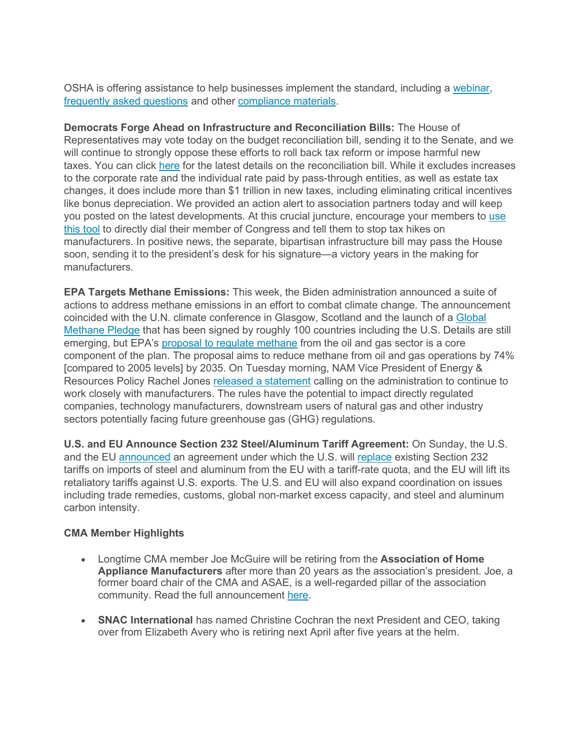OSHA is offering assistance to help businesses implement the standard, including a [webinar,](https://click.email.nam.org/?qs=ee61d1e296c2ac474b08588d3baabb92634a98259985d2e69837f104b86ee2271aa9e24467c3f3a7a4d56f3fd58e6090ad0f99c8f87f3c47) [frequently asked questions](https://click.email.nam.org/?qs=ee61d1e296c2ac47addb3b1d17b4d612601d6279da660dddbd8a9f656390680bc12ff5f5362c094358e4e7b2b6348c2d41ed7f76eac691b2) and other [compliance materials.](https://click.email.nam.org/?qs=ee61d1e296c2ac47addb3b1d17b4d612601d6279da660dddbd8a9f656390680bc12ff5f5362c094358e4e7b2b6348c2d41ed7f76eac691b2)

**Democrats Forge Ahead on Infrastructure and Reconciliation Bills:** The House of Representatives may vote today on the budget reconciliation bill, sending it to the Senate, and we will continue to strongly oppose these efforts to roll back tax reform or impose harmful new taxes. You can click [here](https://click.email.nam.org/?qs=ee61d1e296c2ac47937a4fc60cdb613cfe9d4a5a1d15745d430b55da81cc9e831653b04c5cf85f97bd990d74312c380afd1848464e5a1578) for the latest details on the reconciliation bill. While it excludes increases to the corporate rate and the individual rate paid by pass-through entities, as well as estate tax changes, it does include more than \$1 trillion in new taxes, including eliminating critical incentives like bonus depreciation. We provided an action alert to association partners today and will keep you posted on the latest developments. At this crucial juncture, encourage your members to [use](https://click.email.nam.org/?qs=ee61d1e296c2ac478c8dd264cea49ea7b0dfe9087601d6be90ca192cb1045e957184ea773a407be25d5cdd123544bd30d46a5c91441c7631)  [this tool](https://click.email.nam.org/?qs=ee61d1e296c2ac478c8dd264cea49ea7b0dfe9087601d6be90ca192cb1045e957184ea773a407be25d5cdd123544bd30d46a5c91441c7631) to directly dial their member of Congress and tell them to stop tax hikes on manufacturers. In positive news, the separate, bipartisan infrastructure bill may pass the House soon, sending it to the president's desk for his signature—a victory years in the making for manufacturers.

**EPA Targets Methane Emissions:** This week, the Biden administration announced a suite of actions to address methane emissions in an effort to combat climate change. The announcement coincided with the U.N. climate conference in Glasgow, Scotland and the launch of a Global [Methane Pledge](https://click.email.nam.org/?qs=ee61d1e296c2ac47f56b059ea429ff3250e1ec0ba743439acd6c05fcd8f9960b1f2364afad0dbf832042d00a0d0a986e0619d3e921d9c059) that has been signed by roughly 100 countries including the U.S. Details are still emerging, but EPA's [proposal to regulate methane](https://click.email.nam.org/?qs=ee61d1e296c2ac47736d0f635ed43d8bb7aea3ccbc746a142994dc4b1bd2c5e738c2e516e16999f779ad6ca8e689b2d77aeb56766dc70598) from the oil and gas sector is a core component of the plan. The proposal aims to reduce methane from oil and gas operations by 74% [compared to 2005 levels] by 2035. On Tuesday morning, NAM Vice President of Energy & Resources Policy Rachel Jones [released a statement](https://click.email.nam.org/?qs=ee61d1e296c2ac4737fad302c6cfec83fc03a7ece62bde914f777ce01132dcbde251f432021e52d0dda125be99db9b8691dc9a87531aa49b) calling on the administration to continue to work closely with manufacturers. The rules have the potential to impact directly regulated companies, technology manufacturers, downstream users of natural gas and other industry sectors potentially facing future greenhouse gas (GHG) regulations.

**U.S. and EU Announce Section 232 Steel/Aluminum Tariff Agreement:** On Sunday, the U.S. and the EU [announced](https://click.email.nam.org/?qs=ee61d1e296c2ac47e4e569befe5592f2e99c05fb37373ba48aea00865675e36ced977c58947c4c22c8bcd4183895765c916670acadc9684b) an agreement under which the U.S. will [replace](https://click.email.nam.org/?qs=ee61d1e296c2ac47ba6cc8ef669464c03a181a7965a56db7be8cf1b5ebe7e36f2108fe87526f12b34b83dbd32d4383eafb466368f8067884) existing Section 232 tariffs on imports of steel and aluminum from the EU with a tariff-rate quota, and the EU will lift its retaliatory tariffs against U.S. exports. The U.S. and EU will also expand coordination on issues including trade remedies, customs, global non-market excess capacity, and steel and aluminum carbon intensity.

# **CMA Member Highlights**

- Longtime CMA member Joe McGuire will be retiring from the **Association of Home Appliance Manufacturers** after more than 20 years as the association's president. Joe, a former board chair of the CMA and ASAE, is a well-regarded pillar of the association community. Read the full announcement [here.](https://click.email.nam.org/?qs=ee61d1e296c2ac479e14147fce5aa3da285eb4ee21f9ade4ed020802ea1f77b456e32eb067e74edb6e1a1debd1a23fd8b068b368208ae6b7)
- **SNAC International** has named Christine Cochran the next President and CEO, taking over from Elizabeth Avery who is retiring next April after five years at the helm.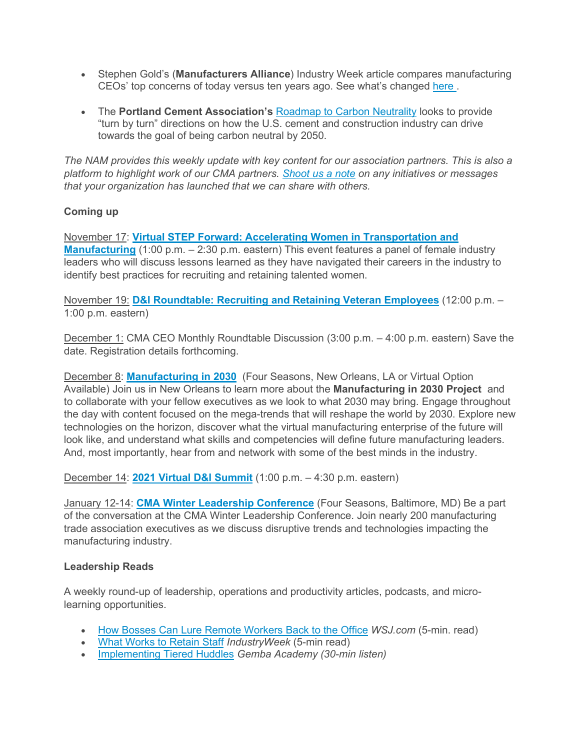- Stephen Gold's (**Manufacturers Alliance**) Industry Week article compares manufacturing CEOs' top concerns of today versus ten years ago. See what's changed [here .](https://click.email.nam.org/?qs=ee61d1e296c2ac47f332d3ce18c022c528b40aa12894ea82181cf2f7b4de75c1012b1afa4cba5766b0c4927aed959e8c0dcb02deefd9b48d)
- The **Portland Cement Association's** [Roadmap to Carbon Neutrality](https://click.email.nam.org/?qs=ee61d1e296c2ac47e00c10f51a7ac65ae53736a2a21f69560a957b841c792bdb7a3f53769f01f2020d4d460657172d9b7a75e794589719bd) looks to provide "turn by turn" directions on how the U.S. cement and construction industry can drive towards the goal of being carbon neutral by 2050.

*The NAM provides this weekly update with key content for our association partners. This is also a platform to highlight work of our CMA partners. [Shoot us a note](mailto:sthompson@nam.org) on any initiatives or messages that your organization has launched that we can share with others.*

# **Coming up**

November 17: **[Virtual STEP Forward: Accelerating Women in Transportation and](https://click.email.nam.org/?qs=ee61d1e296c2ac4784356e513a11060eb8c8d30fcade56698feca14bf54d458ccc57fb05f088859bc52532578b01109e64587a55239e45a3)  [Manufacturing](https://click.email.nam.org/?qs=ee61d1e296c2ac4784356e513a11060eb8c8d30fcade56698feca14bf54d458ccc57fb05f088859bc52532578b01109e64587a55239e45a3)** (1:00 p.m. – 2:30 p.m. eastern) This event features a panel of female industry leaders who will discuss lessons learned as they have navigated their careers in the industry to identify best practices for recruiting and retaining talented women.

November 19: **[D&I Roundtable: Recruiting and Retaining Veteran Employees](https://click.email.nam.org/?qs=ee61d1e296c2ac4749f7c7d66303a54f19ec258ece34df31dc6acd42a9d092403e336cbb212cfc76fe51c4d7a7ed4b5b3451cddf45fe3187)** (12:00 p.m. – 1:00 p.m. eastern)

December 1: CMA CEO Monthly Roundtable Discussion (3:00 p.m. – 4:00 p.m. eastern) Save the date. Registration details forthcoming.

December 8: **[Manufacturing in 2030](https://click.email.nam.org/?qs=ee61d1e296c2ac475c3afc4d986efeb312a2ed7b452274ab429cc0ebeef599e5e69b77d77aef0613927e999699c627a43e5f15aa0856374d)** (Four Seasons, New Orleans, LA or Virtual Option Available) Join us in New Orleans to learn more about the **Manufacturing in 2030 Project** and to collaborate with your fellow executives as we look to what 2030 may bring. Engage throughout the day with content focused on the mega-trends that will reshape the world by 2030. Explore new technologies on the horizon, discover what the virtual manufacturing enterprise of the future will look like, and understand what skills and competencies will define future manufacturing leaders. And, most importantly, hear from and network with some of the best minds in the industry.

December 14: **[2021 Virtual D&I Summit](https://click.email.nam.org/?qs=ee61d1e296c2ac47ae33cd73d218e91d38c352afa12fdf0a76effece38d59937629fbd782031ddf65c5d6ea9ab08e541544d5ca67139f159)** (1:00 p.m. – 4:30 p.m. eastern)

January 12-14: **[CMA Winter Leadership Conference](https://click.email.nam.org/?qs=ee61d1e296c2ac47507835ee991370e81f916c9c5327dad4d6a373a56d9a061f088ed9bd22be6fed3e31de4348480a7cfc8338074d10b90f)** (Four Seasons, Baltimore, MD) Be a part of the conversation at the CMA Winter Leadership Conference. Join nearly 200 manufacturing trade association executives as we discuss disruptive trends and technologies impacting the manufacturing industry.

### **Leadership Reads**

A weekly round-up of leadership, operations and productivity articles, podcasts, and microlearning opportunities.

- [How Bosses Can Lure Remote Workers Back to the Office](https://click.email.nam.org/?qs=ee61d1e296c2ac473ec79dca67803a4612c442999651841938259656bf2abbb35a91e6fb060737a807b9738bfd9de0e54f95e086de5eb6d1) *WSJ.com* (5-min. read)
- [What Works to Retain Staff](https://click.email.nam.org/?qs=ee61d1e296c2ac47befa163de58b659aebbac1c961fd8235d1176a56f6372060d2246c6dc5933b371c9efa7f6741f900c4ceed002b336c5d) *IndustryWeek* (5-min read)
- [Implementing Tiered Huddles](https://click.email.nam.org/?qs=ee61d1e296c2ac47690ba814271bc0390110b4d8fc19d1cedf4150e1e99667ee489ab48e8e8848c66f77b560d43fb3a607dc6cf4f518092d) *Gemba Academy (30-min listen)*